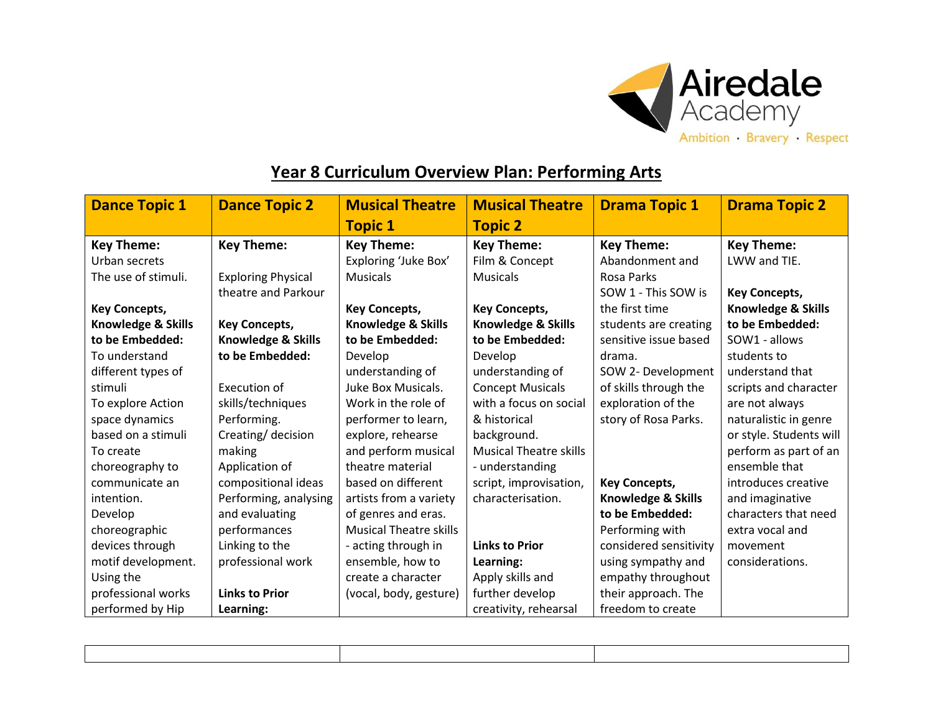

## **Year 8 Curriculum Overview Plan: Performing Arts**

| <b>Dance Topic 1</b>          | <b>Dance Topic 2</b>      | <b>Musical Theatre</b>        | <b>Musical Theatre</b>        | <b>Drama Topic 1</b>   | <b>Drama Topic 2</b>    |
|-------------------------------|---------------------------|-------------------------------|-------------------------------|------------------------|-------------------------|
|                               |                           | <b>Topic 1</b>                | <b>Topic 2</b>                |                        |                         |
| <b>Key Theme:</b>             | <b>Key Theme:</b>         | <b>Key Theme:</b>             | <b>Key Theme:</b>             | <b>Key Theme:</b>      | <b>Key Theme:</b>       |
| Urban secrets                 |                           | Exploring 'Juke Box'          | Film & Concept                | Abandonment and        | LWW and TIE.            |
| The use of stimuli.           | <b>Exploring Physical</b> | <b>Musicals</b>               | <b>Musicals</b>               | <b>Rosa Parks</b>      |                         |
|                               | theatre and Parkour       |                               |                               | SOW 1 - This SOW is    | <b>Key Concepts,</b>    |
| <b>Key Concepts,</b>          |                           | <b>Key Concepts,</b>          | <b>Key Concepts,</b>          | the first time         | Knowledge & Skills      |
| <b>Knowledge &amp; Skills</b> | <b>Key Concepts,</b>      | Knowledge & Skills            | Knowledge & Skills            | students are creating  | to be Embedded:         |
| to be Embedded:               | Knowledge & Skills        | to be Embedded:               | to be Embedded:               | sensitive issue based  | SOW1 - allows           |
| To understand                 | to be Embedded:           | Develop                       | Develop                       | drama.                 | students to             |
| different types of            |                           | understanding of              | understanding of              | SOW 2- Development     | understand that         |
| stimuli                       | Execution of              | Juke Box Musicals.            | <b>Concept Musicals</b>       | of skills through the  | scripts and character   |
| To explore Action             | skills/techniques         | Work in the role of           | with a focus on social        | exploration of the     | are not always          |
| space dynamics                | Performing.               | performer to learn,           | & historical                  | story of Rosa Parks.   | naturalistic in genre   |
| based on a stimuli            | Creating/ decision        | explore, rehearse             | background.                   |                        | or style. Students will |
| To create                     | making                    | and perform musical           | <b>Musical Theatre skills</b> |                        | perform as part of an   |
| choreography to               | Application of            | theatre material              | - understanding               |                        | ensemble that           |
| communicate an                | compositional ideas       | based on different            | script, improvisation,        | <b>Key Concepts,</b>   | introduces creative     |
| intention.                    | Performing, analysing     | artists from a variety        | characterisation.             | Knowledge & Skills     | and imaginative         |
| Develop                       | and evaluating            | of genres and eras.           |                               | to be Embedded:        | characters that need    |
| choreographic                 | performances              | <b>Musical Theatre skills</b> |                               | Performing with        | extra vocal and         |
| devices through               | Linking to the            | - acting through in           | <b>Links to Prior</b>         | considered sensitivity | movement                |
| motif development.            | professional work         | ensemble, how to              | Learning:                     | using sympathy and     | considerations.         |
| Using the                     |                           | create a character            | Apply skills and              | empathy throughout     |                         |
| professional works            | <b>Links to Prior</b>     | (vocal, body, gesture)        | further develop               | their approach. The    |                         |
| performed by Hip              | Learning:                 |                               | creativity, rehearsal         | freedom to create      |                         |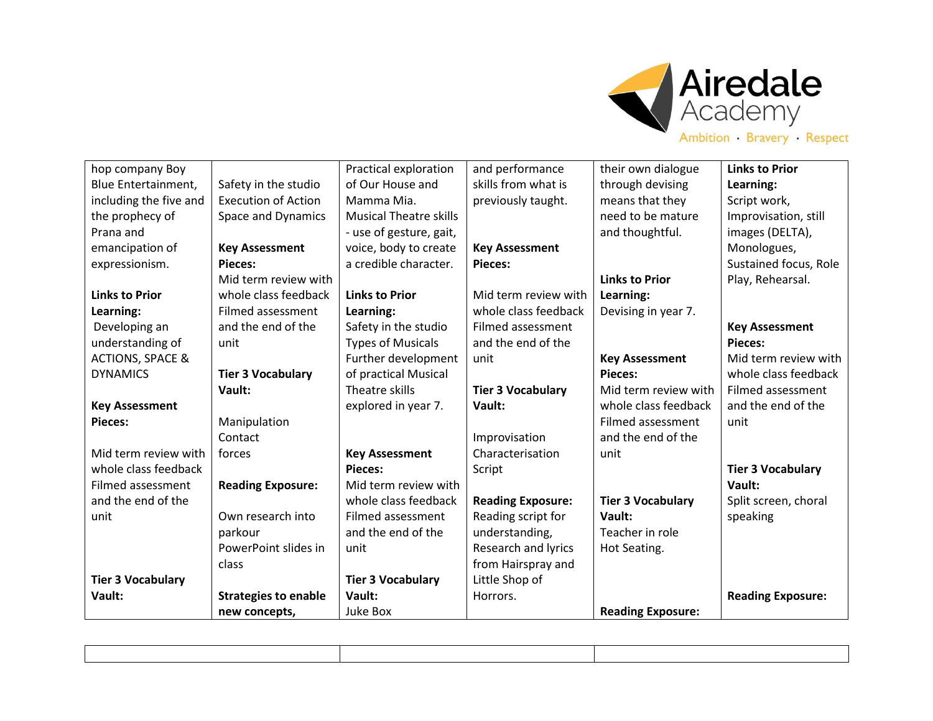

| hop company Boy             |                             | Practical exploration         | and performance          | their own dialogue       | <b>Links to Prior</b>    |
|-----------------------------|-----------------------------|-------------------------------|--------------------------|--------------------------|--------------------------|
| Blue Entertainment,         | Safety in the studio        | of Our House and              | skills from what is      | through devising         | Learning:                |
| including the five and      | <b>Execution of Action</b>  | Mamma Mia.                    | previously taught.       | means that they          | Script work,             |
| the prophecy of             | Space and Dynamics          | <b>Musical Theatre skills</b> |                          | need to be mature        | Improvisation, still     |
| Prana and                   |                             | - use of gesture, gait,       |                          | and thoughtful.          | images (DELTA),          |
| emancipation of             | <b>Key Assessment</b>       | voice, body to create         | <b>Key Assessment</b>    |                          | Monologues,              |
| expressionism.              | Pieces:                     | a credible character.         | Pieces:                  |                          | Sustained focus, Role    |
|                             | Mid term review with        |                               |                          | <b>Links to Prior</b>    | Play, Rehearsal.         |
| <b>Links to Prior</b>       | whole class feedback        | <b>Links to Prior</b>         | Mid term review with     | Learning:                |                          |
| Learning:                   | Filmed assessment           | Learning:                     | whole class feedback     | Devising in year 7.      |                          |
| Developing an               | and the end of the          | Safety in the studio          | Filmed assessment        |                          | <b>Key Assessment</b>    |
| understanding of            | unit                        | <b>Types of Musicals</b>      | and the end of the       |                          | <b>Pieces:</b>           |
| <b>ACTIONS, SPACE &amp;</b> |                             | Further development           | unit                     | <b>Key Assessment</b>    | Mid term review with     |
| <b>DYNAMICS</b>             | <b>Tier 3 Vocabulary</b>    | of practical Musical          |                          | <b>Pieces:</b>           | whole class feedback     |
|                             | Vault:                      | Theatre skills                | <b>Tier 3 Vocabulary</b> | Mid term review with     | Filmed assessment        |
| <b>Key Assessment</b>       |                             | explored in year 7.           | Vault:                   | whole class feedback     | and the end of the       |
| <b>Pieces:</b>              | Manipulation                |                               |                          | Filmed assessment        | unit                     |
|                             | Contact                     |                               | Improvisation            | and the end of the       |                          |
| Mid term review with        | forces                      | <b>Key Assessment</b>         | Characterisation         | unit                     |                          |
| whole class feedback        |                             | Pieces:                       | Script                   |                          | <b>Tier 3 Vocabulary</b> |
| Filmed assessment           | <b>Reading Exposure:</b>    | Mid term review with          |                          |                          | Vault:                   |
| and the end of the          |                             | whole class feedback          | <b>Reading Exposure:</b> | <b>Tier 3 Vocabulary</b> | Split screen, choral     |
| unit                        | Own research into           | Filmed assessment             | Reading script for       | Vault:                   | speaking                 |
|                             | parkour                     | and the end of the            | understanding,           | Teacher in role          |                          |
|                             | PowerPoint slides in        | unit                          | Research and lyrics      | Hot Seating.             |                          |
|                             | class                       |                               | from Hairspray and       |                          |                          |
| <b>Tier 3 Vocabulary</b>    |                             | <b>Tier 3 Vocabulary</b>      | Little Shop of           |                          |                          |
| Vault:                      | <b>Strategies to enable</b> | Vault:                        | Horrors.                 |                          | <b>Reading Exposure:</b> |
|                             | new concepts,               | Juke Box                      |                          | <b>Reading Exposure:</b> |                          |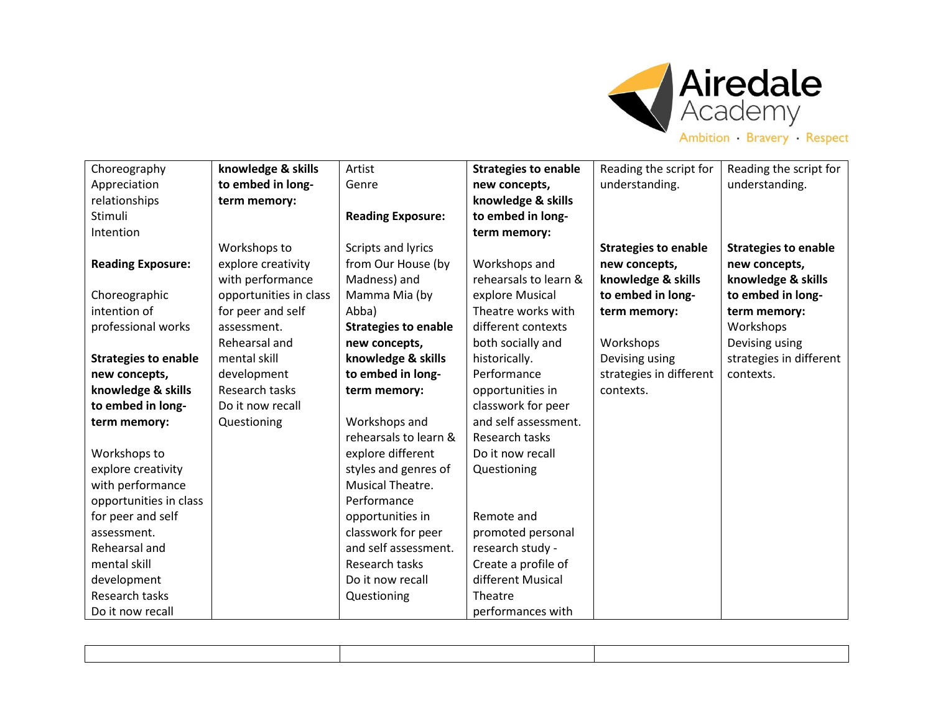

|  |  |  |  |  |  | Ambition Bravery Respect |  |  |  |  |
|--|--|--|--|--|--|--------------------------|--|--|--|--|
|--|--|--|--|--|--|--------------------------|--|--|--|--|

| Choreography                | knowledge & skills     | Artist                      | <b>Strategies to enable</b> | Reading the script for      | Reading the script for      |
|-----------------------------|------------------------|-----------------------------|-----------------------------|-----------------------------|-----------------------------|
| Appreciation                | to embed in long-      | Genre                       | new concepts,               | understanding.              | understanding.              |
| relationships               | term memory:           |                             | knowledge & skills          |                             |                             |
| Stimuli                     |                        | <b>Reading Exposure:</b>    | to embed in long-           |                             |                             |
| Intention                   |                        |                             | term memory:                |                             |                             |
|                             | Workshops to           | Scripts and lyrics          |                             | <b>Strategies to enable</b> | <b>Strategies to enable</b> |
| <b>Reading Exposure:</b>    | explore creativity     | from Our House (by          | Workshops and               | new concepts,               | new concepts,               |
|                             | with performance       | Madness) and                | rehearsals to learn &       | knowledge & skills          | knowledge & skills          |
| Choreographic               | opportunities in class | Mamma Mia (by               | explore Musical             | to embed in long-           | to embed in long-           |
| intention of                | for peer and self      | Abba)                       | Theatre works with          | term memory:                | term memory:                |
| professional works          | assessment.            | <b>Strategies to enable</b> | different contexts          |                             | Workshops                   |
|                             | Rehearsal and          | new concepts,               | both socially and           | Workshops                   | Devising using              |
| <b>Strategies to enable</b> | mental skill           | knowledge & skills          | historically.               | Devising using              | strategies in different     |
| new concepts,               | development            | to embed in long-           | Performance                 | strategies in different     | contexts.                   |
| knowledge & skills          | Research tasks         | term memory:                | opportunities in            | contexts.                   |                             |
| to embed in long-           | Do it now recall       |                             | classwork for peer          |                             |                             |
| term memory:                | Questioning            | Workshops and               | and self assessment.        |                             |                             |
|                             |                        | rehearsals to learn &       | Research tasks              |                             |                             |
| Workshops to                |                        | explore different           | Do it now recall            |                             |                             |
| explore creativity          |                        | styles and genres of        | Questioning                 |                             |                             |
| with performance            |                        | Musical Theatre.            |                             |                             |                             |
| opportunities in class      |                        | Performance                 |                             |                             |                             |
| for peer and self           |                        | opportunities in            | Remote and                  |                             |                             |
| assessment.                 |                        | classwork for peer          | promoted personal           |                             |                             |
| Rehearsal and               |                        | and self assessment.        | research study -            |                             |                             |
| mental skill                |                        | Research tasks              | Create a profile of         |                             |                             |
| development                 |                        | Do it now recall            | different Musical           |                             |                             |
| Research tasks              |                        | Questioning                 | Theatre                     |                             |                             |
| Do it now recall            |                        |                             | performances with           |                             |                             |